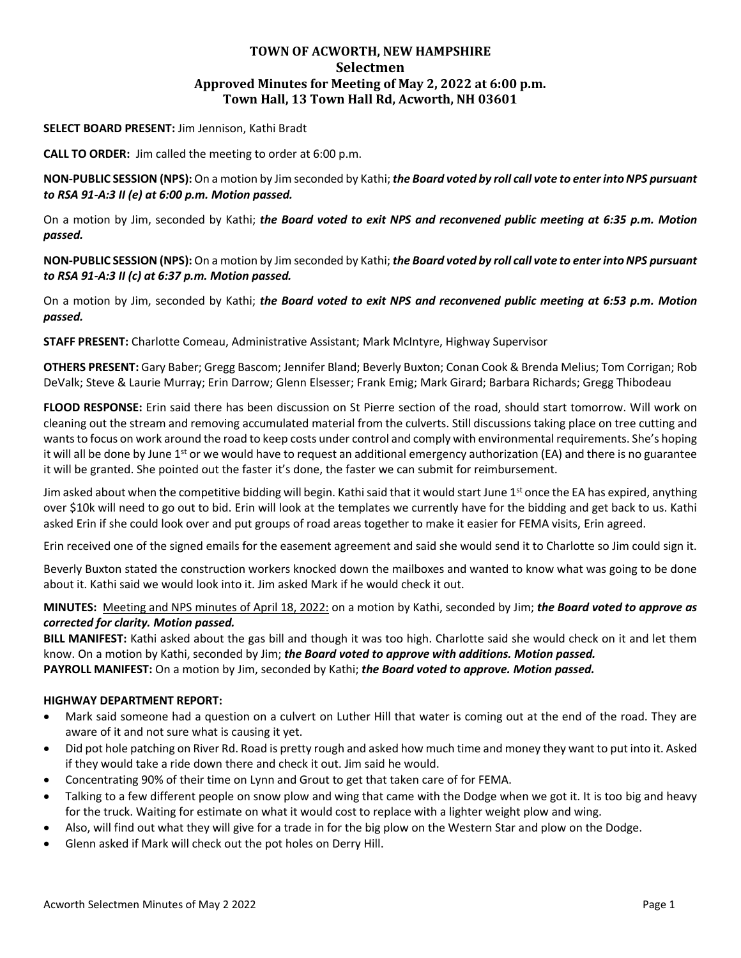# **TOWN OF ACWORTH, NEW HAMPSHIRE Selectmen Approved Minutes for Meeting of May 2, 2022 at 6:00 p.m. Town Hall, 13 Town Hall Rd, Acworth, NH 03601**

### **SELECT BOARD PRESENT:** Jim Jennison, Kathi Bradt

**CALL TO ORDER:** Jim called the meeting to order at 6:00 p.m.

**NON-PUBLIC SESSION (NPS):** On a motion by Jim seconded by Kathi; *the Board voted by roll call vote to enter into NPS pursuant to RSA 91-A:3 II (e) at 6:00 p.m. Motion passed.*

On a motion by Jim, seconded by Kathi; *the Board voted to exit NPS and reconvened public meeting at 6:35 p.m. Motion passed.*

**NON-PUBLIC SESSION (NPS):** On a motion by Jim seconded by Kathi; *the Board voted by roll call vote to enter into NPS pursuant to RSA 91-A:3 II (c) at 6:37 p.m. Motion passed.*

On a motion by Jim, seconded by Kathi; *the Board voted to exit NPS and reconvened public meeting at 6:53 p.m. Motion passed.*

**STAFF PRESENT:** Charlotte Comeau, Administrative Assistant; Mark McIntyre, Highway Supervisor

**OTHERS PRESENT:** Gary Baber; Gregg Bascom; Jennifer Bland; Beverly Buxton; Conan Cook & Brenda Melius; Tom Corrigan; Rob DeValk; Steve & Laurie Murray; Erin Darrow; Glenn Elsesser; Frank Emig; Mark Girard; Barbara Richards; Gregg Thibodeau

**FLOOD RESPONSE:** Erin said there has been discussion on St Pierre section of the road, should start tomorrow. Will work on cleaning out the stream and removing accumulated material from the culverts. Still discussions taking place on tree cutting and wants to focus on work around the road to keep costs under control and comply with environmental requirements. She's hoping it will all be done by June 1<sup>st</sup> or we would have to request an additional emergency authorization (EA) and there is no guarantee it will be granted. She pointed out the faster it's done, the faster we can submit for reimbursement.

Jim asked about when the competitive bidding will begin. Kathi said that it would start June 1<sup>st</sup> once the EA has expired, anything over \$10k will need to go out to bid. Erin will look at the templates we currently have for the bidding and get back to us. Kathi asked Erin if she could look over and put groups of road areas together to make it easier for FEMA visits, Erin agreed.

Erin received one of the signed emails for the easement agreement and said she would send it to Charlotte so Jim could sign it.

Beverly Buxton stated the construction workers knocked down the mailboxes and wanted to know what was going to be done about it. Kathi said we would look into it. Jim asked Mark if he would check it out.

# **MINUTES:** Meeting and NPS minutes of April 18, 2022: on a motion by Kathi, seconded by Jim; *the Board voted to approve as corrected for clarity. Motion passed.*

**BILL MANIFEST:** Kathi asked about the gas bill and though it was too high. Charlotte said she would check on it and let them know. On a motion by Kathi, seconded by Jim; *the Board voted to approve with additions. Motion passed.*

**PAYROLL MANIFEST:** On a motion by Jim, seconded by Kathi; *the Board voted to approve. Motion passed.*

#### **HIGHWAY DEPARTMENT REPORT:**

- Mark said someone had a question on a culvert on Luther Hill that water is coming out at the end of the road. They are aware of it and not sure what is causing it yet.
- Did pot hole patching on River Rd. Road is pretty rough and asked how much time and money they want to put into it. Asked if they would take a ride down there and check it out. Jim said he would.
- Concentrating 90% of their time on Lynn and Grout to get that taken care of for FEMA.
- Talking to a few different people on snow plow and wing that came with the Dodge when we got it. It is too big and heavy for the truck. Waiting for estimate on what it would cost to replace with a lighter weight plow and wing.
- Also, will find out what they will give for a trade in for the big plow on the Western Star and plow on the Dodge.
- Glenn asked if Mark will check out the pot holes on Derry Hill.